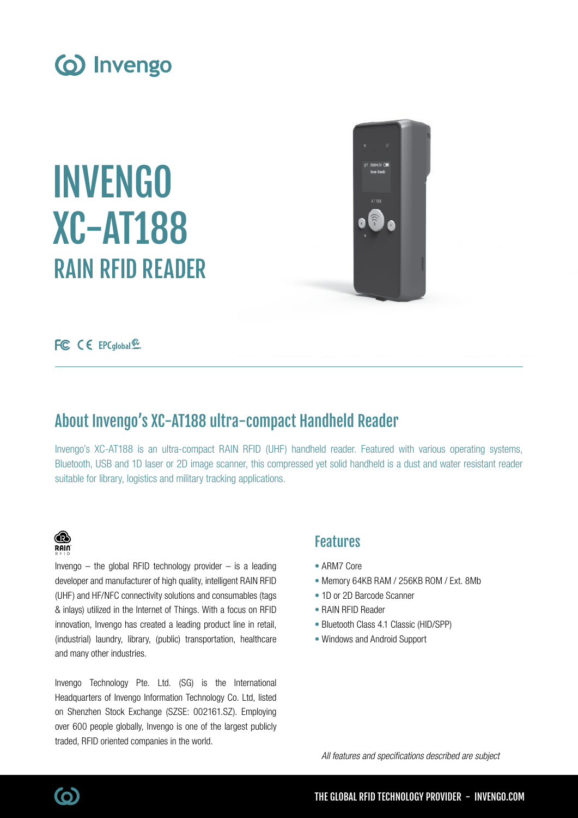

INVENGO XC-AT188 RAIN RFID READER



FC CE EPCglobal <sup>42</sup>

# About Invengo's XC-AT188 ultra-compact Handheld Reader

Invengo's XC-AT188 is an ultra-compact RAIN RFID (UHF) handheld reader. Featured with various operating systems, Bluetooth, USB and 1D laser or 2D image scanner, this compressed yet solid handheld is a dust and water resistant reader suitable for library, logistics and military tracking applications.

## ⋒ **RAIN**

Invengo  $-$  the global RFID technology provider  $-$  is a leading developer and manufacturer of high quality, intelligent RAIN RFID (UHF) and HF/NFC connectivity solutions and consumables (tags & inlays) utilized in the Internet of Things. With a focus on RFID innovation, Invengo has created a leading product line in retail, (industrial) laundry, library, (public) transportation, healthcare and many other industries.

Invengo Technology Pte. Ltd. (SG) is the International Headquarters of Invengo Information Technology Co. Ltd, listed on Shenzhen Stock Exchange (SZSE: 002161.SZ). Employing over 600 people globally, Invengo is one of the largest publicly traded, RFID oriented companies in the world.

## Features

- ARM7 Core
- Memory 64KB RAM / 256KB ROM / Ext. 8Mb
- 1D or 2D Barcode Scanner
- RAIN RFID Reader
- Bluetooth Class 4.1 Classic (HID/SPP)
- Windows and Android Support

All features and specifications described are subject